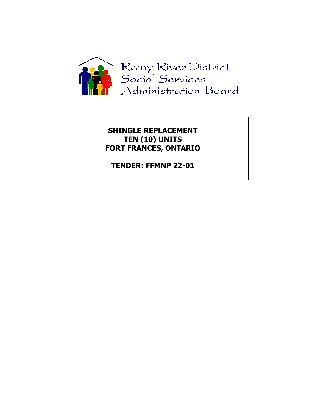

# **SHINGLE REPLACEMENT TEN (10) UNITS FORT FRANCES, ONTARIO**

**TENDER: FFMNP 22-01**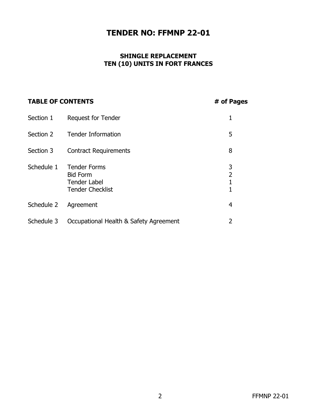# **TENDER NO: FFMNP 22-01**

## **SHINGLE REPLACEMENT TEN (10) UNITS IN FORT FRANCES**

# **TABLE OF CONTENTS # of Pages**

| Section 1  | <b>Request for Tender</b>                                                                |                               |
|------------|------------------------------------------------------------------------------------------|-------------------------------|
| Section 2  | <b>Tender Information</b>                                                                | 5                             |
| Section 3  | <b>Contract Requirements</b>                                                             | 8                             |
| Schedule 1 | <b>Tender Forms</b><br><b>Bid Form</b><br><b>Tender Label</b><br><b>Tender Checklist</b> | 3<br>$\overline{2}$<br>1<br>1 |
| Schedule 2 | Agreement                                                                                | 4                             |
| Schedule 3 | Occupational Health & Safety Agreement                                                   | $\mathcal{P}$                 |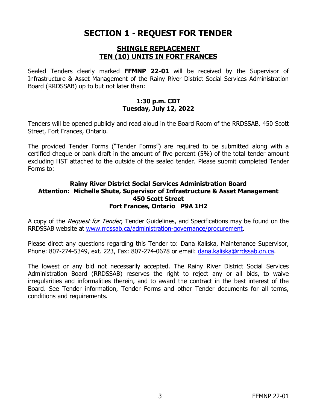# **SECTION 1 - REQUEST FOR TENDER**

# **SHINGLE REPLACEMENT TEN (10) UNITS IN FORT FRANCES**

Sealed Tenders clearly marked **FFMNP 22-01** will be received by the Supervisor of Infrastructure & Asset Management of the Rainy River District Social Services Administration Board (RRDSSAB) up to but not later than:

#### **1:30 p.m. CDT Tuesday, July 12, 2022**

Tenders will be opened publicly and read aloud in the Board Room of the RRDSSAB, 450 Scott Street, Fort Frances, Ontario.

The provided Tender Forms ("Tender Forms") are required to be submitted along with a certified cheque or bank draft in the amount of five percent (5%) of the total tender amount excluding HST attached to the outside of the sealed tender. Please submit completed Tender Forms to:

#### **Rainy River District Social Services Administration Board Attention: Michelle Shute, Supervisor of Infrastructure & Asset Management 450 Scott Street Fort Frances, Ontario P9A 1H2**

A copy of the *Request for Tender*, Tender Guidelines, and Specifications may be found on the RRDSSAB website at [www.rrdssab.ca/](http://www.rrdssab.ca/)administration-governance/procurement.

Please direct any questions regarding this Tender to: Dana Kaliska, Maintenance Supervisor, Phone: 807-274-5349, ext. 223, Fax: 807-274-0678 or email: [dana.kaliska@rrdssab.on.ca.](mailto:dana.kaliska@rrdssab.on.ca)

The lowest or any bid not necessarily accepted. The Rainy River District Social Services Administration Board (RRDSSAB) reserves the right to reject any or all bids, to waive irregularities and informalities therein, and to award the contract in the best interest of the Board. See Tender information, Tender Forms and other Tender documents for all terms, conditions and requirements.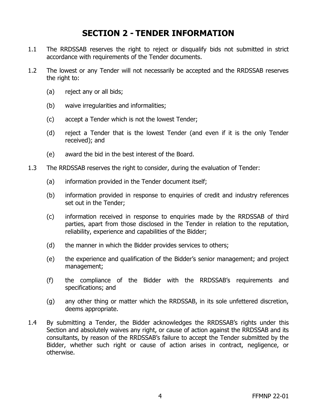# **SECTION 2 - TENDER INFORMATION**

- 1.1 The RRDSSAB reserves the right to reject or disqualify bids not submitted in strict accordance with requirements of the Tender documents.
- 1.2 The lowest or any Tender will not necessarily be accepted and the RRDSSAB reserves the right to:
	- (a) reject any or all bids;
	- (b) waive irregularities and informalities;
	- (c) accept a Tender which is not the lowest Tender;
	- (d) reject a Tender that is the lowest Tender (and even if it is the only Tender received); and
	- (e) award the bid in the best interest of the Board.
- 1.3 The RRDSSAB reserves the right to consider, during the evaluation of Tender:
	- (a) information provided in the Tender document itself;
	- (b) information provided in response to enquiries of credit and industry references set out in the Tender;
	- (c) information received in response to enquiries made by the RRDSSAB of third parties, apart from those disclosed in the Tender in relation to the reputation, reliability, experience and capabilities of the Bidder;
	- (d) the manner in which the Bidder provides services to others;
	- (e) the experience and qualification of the Bidder's senior management; and project management;
	- (f) the compliance of the Bidder with the RRDSSAB's requirements and specifications; and
	- (g) any other thing or matter which the RRDSSAB, in its sole unfettered discretion, deems appropriate.
- 1.4 By submitting a Tender, the Bidder acknowledges the RRDSSAB's rights under this Section and absolutely waives any right, or cause of action against the RRDSSAB and its consultants, by reason of the RRDSSAB's failure to accept the Tender submitted by the Bidder, whether such right or cause of action arises in contract, negligence, or otherwise.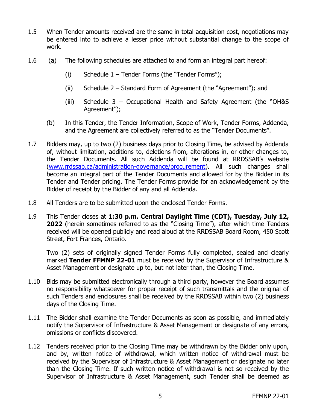- 1.5 When Tender amounts received are the same in total acquisition cost, negotiations may be entered into to achieve a lesser price without substantial change to the scope of work.
- 1.6 (a) The following schedules are attached to and form an integral part hereof:
	- (i) Schedule  $1 -$  Tender Forms (the "Tender Forms");
	- (ii) Schedule 2 Standard Form of Agreement (the "Agreement"); and
	- (iii) Schedule 3 Occupational Health and Safety Agreement (the "OH&S Agreement");
	- (b) In this Tender, the Tender Information, Scope of Work, Tender Forms, Addenda, and the Agreement are collectively referred to as the "Tender Documents".
- 1.7 Bidders may, up to two (2) business days prior to Closing Time, be advised by Addenda of, without limitation, additions to, deletions from, alterations in, or other changes to, the Tender Documents. All such Addenda will be found at RRDSSAB's website [\(www.rrdssab.ca/administration-governance/procurement\)](http://www.rrdssab.ca/administration-governance/procurement). All such changes shall become an integral part of the Tender Documents and allowed for by the Bidder in its Tender and Tender pricing. The Tender Forms provide for an acknowledgement by the Bidder of receipt by the Bidder of any and all Addenda.
- 1.8 All Tenders are to be submitted upon the enclosed Tender Forms.
- 1.9 This Tender closes at **1:30 p.m. Central Daylight Time (CDT), Tuesday, July 12, 2022** (herein sometimes referred to as the "Closing Time"), after which time Tenders received will be opened publicly and read aloud at the RRDSSAB Board Room, 450 Scott Street, Fort Frances, Ontario.

Two (2) sets of originally signed Tender Forms fully completed, sealed and clearly marked **Tender FFMNP 22-01** must be received by the Supervisor of Infrastructure & Asset Management or designate up to, but not later than, the Closing Time.

- 1.10 Bids may be submitted electronically through a third party, however the Board assumes no responsibility whatsoever for proper receipt of such transmittals and the original of such Tenders and enclosures shall be received by the RRDSSAB within two (2) business days of the Closing Time.
- 1.11 The Bidder shall examine the Tender Documents as soon as possible, and immediately notify the Supervisor of Infrastructure & Asset Management or designate of any errors, omissions or conflicts discovered.
- 1.12 Tenders received prior to the Closing Time may be withdrawn by the Bidder only upon, and by, written notice of withdrawal, which written notice of withdrawal must be received by the Supervisor of Infrastructure & Asset Management or designate no later than the Closing Time. If such written notice of withdrawal is not so received by the Supervisor of Infrastructure & Asset Management, such Tender shall be deemed as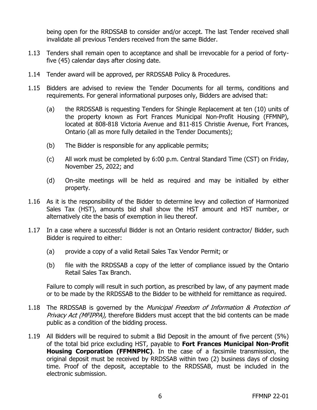being open for the RRDSSAB to consider and/or accept. The last Tender received shall invalidate all previous Tenders received from the same Bidder.

- 1.13 Tenders shall remain open to acceptance and shall be irrevocable for a period of fortyfive (45) calendar days after closing date.
- 1.14 Tender award will be approved, per RRDSSAB Policy & Procedures.
- 1.15 Bidders are advised to review the Tender Documents for all terms, conditions and requirements. For general informational purposes only, Bidders are advised that:
	- (a) the RRDSSAB is requesting Tenders for Shingle Replacement at ten (10) units of the property known as Fort Frances Municipal Non-Profit Housing (FFMNP), located at 808-818 Victoria Avenue and 811-815 Christie Avenue, Fort Frances, Ontario (all as more fully detailed in the Tender Documents);
	- (b) The Bidder is responsible for any applicable permits;
	- (c) All work must be completed by 6:00 p.m. Central Standard Time (CST) on Friday, November 25, 2022; and
	- (d) On-site meetings will be held as required and may be initialled by either property.
- 1.16 As it is the responsibility of the Bidder to determine levy and collection of Harmonized Sales Tax (HST), amounts bid shall show the HST amount and HST number, or alternatively cite the basis of exemption in lieu thereof.
- 1.17 In a case where a successful Bidder is not an Ontario resident contractor/ Bidder, such Bidder is required to either:
	- (a) provide a copy of a valid Retail Sales Tax Vendor Permit; or
	- (b) file with the RRDSSAB a copy of the letter of compliance issued by the Ontario Retail Sales Tax Branch.

Failure to comply will result in such portion, as prescribed by law, of any payment made or to be made by the RRDSSAB to the Bidder to be withheld for remittance as required.

- 1.18 The RRDSSAB is governed by the *Municipal Freedom of Information & Protection of* Privacy Act (MFIPPA), therefore Bidders must accept that the bid contents can be made public as a condition of the bidding process.
- 1.19 All Bidders will be required to submit a Bid Deposit in the amount of five percent (5%) of the total bid price excluding HST, payable to **Fort Frances Municipal Non-Profit Housing Corporation (FFMNPHC)**. In the case of a facsimile transmission, the original deposit must be received by RRDSSAB within two (2) business days of closing time. Proof of the deposit, acceptable to the RRDSSAB, must be included in the electronic submission.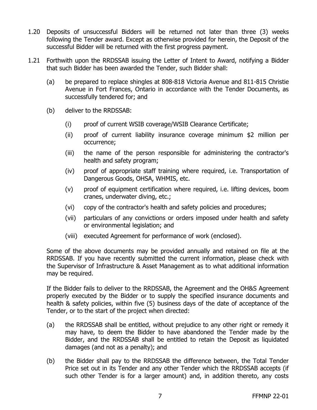- 1.20 Deposits of unsuccessful Bidders will be returned not later than three (3) weeks following the Tender award. Except as otherwise provided for herein, the Deposit of the successful Bidder will be returned with the first progress payment.
- 1.21 Forthwith upon the RRDSSAB issuing the Letter of Intent to Award, notifying a Bidder that such Bidder has been awarded the Tender, such Bidder shall:
	- (a) be prepared to replace shingles at 808-818 Victoria Avenue and 811-815 Christie Avenue in Fort Frances, Ontario in accordance with the Tender Documents, as successfully tendered for; and
	- (b) deliver to the RRDSSAB:
		- (i) proof of current WSIB coverage/WSIB Clearance Certificate;
		- (ii) proof of current liability insurance coverage minimum \$2 million per occurrence;
		- (iii) the name of the person responsible for administering the contractor's health and safety program;
		- (iv) proof of appropriate staff training where required, i.e. Transportation of Dangerous Goods, OHSA, WHMIS, etc.
		- (v) proof of equipment certification where required, i.e. lifting devices, boom cranes, underwater diving, etc.;
		- (vi) copy of the contractor's health and safety policies and procedures;
		- (vii) particulars of any convictions or orders imposed under health and safety or environmental legislation; and
		- (viii) executed Agreement for performance of work (enclosed).

Some of the above documents may be provided annually and retained on file at the RRDSSAB. If you have recently submitted the current information, please check with the Supervisor of Infrastructure & Asset Management as to what additional information may be required.

If the Bidder fails to deliver to the RRDSSAB, the Agreement and the OH&S Agreement properly executed by the Bidder or to supply the specified insurance documents and health & safety policies, within five (5) business days of the date of acceptance of the Tender, or to the start of the project when directed:

- (a) the RRDSSAB shall be entitled, without prejudice to any other right or remedy it may have, to deem the Bidder to have abandoned the Tender made by the Bidder, and the RRDSSAB shall be entitled to retain the Deposit as liquidated damages (and not as a penalty); and
- (b) the Bidder shall pay to the RRDSSAB the difference between, the Total Tender Price set out in its Tender and any other Tender which the RRDSSAB accepts (if such other Tender is for a larger amount) and, in addition thereto, any costs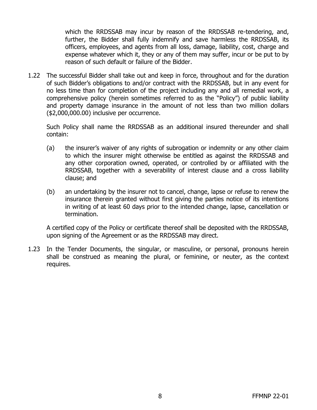which the RRDSSAB may incur by reason of the RRDSSAB re-tendering, and, further, the Bidder shall fully indemnify and save harmless the RRDSSAB, its officers, employees, and agents from all loss, damage, liability, cost, charge and expense whatever which it, they or any of them may suffer, incur or be put to by reason of such default or failure of the Bidder.

1.22 The successful Bidder shall take out and keep in force, throughout and for the duration of such Bidder's obligations to and/or contract with the RRDSSAB, but in any event for no less time than for completion of the project including any and all remedial work, a comprehensive policy (herein sometimes referred to as the "Policy") of public liability and property damage insurance in the amount of not less than two million dollars (\$2,000,000.00) inclusive per occurrence.

Such Policy shall name the RRDSSAB as an additional insured thereunder and shall contain:

- (a) the insurer's waiver of any rights of subrogation or indemnity or any other claim to which the insurer might otherwise be entitled as against the RRDSSAB and any other corporation owned, operated, or controlled by or affiliated with the RRDSSAB, together with a severability of interest clause and a cross liability clause; and
- (b) an undertaking by the insurer not to cancel, change, lapse or refuse to renew the insurance therein granted without first giving the parties notice of its intentions in writing of at least 60 days prior to the intended change, lapse, cancellation or termination.

A certified copy of the Policy or certificate thereof shall be deposited with the RRDSSAB, upon signing of the Agreement or as the RRDSSAB may direct.

1.23 In the Tender Documents, the singular, or masculine, or personal, pronouns herein shall be construed as meaning the plural, or feminine, or neuter, as the context requires.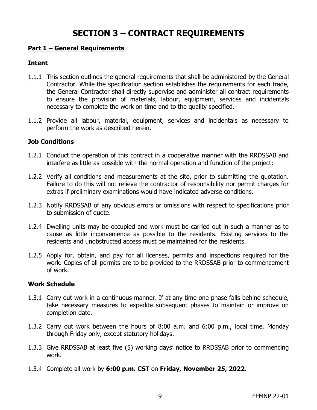# **SECTION 3 – CONTRACT REQUIREMENTS**

#### **Part 1 – General Requirements**

#### **Intent**

- 1.1.1 This section outlines the general requirements that shall be administered by the General Contractor. While the specification section establishes the requirements for each trade, the General Contractor shall directly supervise and administer all contract requirements to ensure the provision of materials, labour, equipment, services and incidentals necessary to complete the work on time and to the quality specified.
- 1.1.2 Provide all labour, material, equipment, services and incidentals as necessary to perform the work as described herein.

#### **Job Conditions**

- 1.2.1 Conduct the operation of this contract in a cooperative manner with the RRDSSAB and interfere as little as possible with the normal operation and function of the project;
- 1.2.2 Verify all conditions and measurements at the site, prior to submitting the quotation. Failure to do this will not relieve the contractor of responsibility nor permit charges for extras if preliminary examinations would have indicated adverse conditions.
- 1.2.3 Notify RRDSSAB of any obvious errors or omissions with respect to specifications prior to submission of quote.
- 1.2.4 Dwelling units may be occupied and work must be carried out in such a manner as to cause as little inconvenience as possible to the residents. Existing services to the residents and unobstructed access must be maintained for the residents.
- 1.2.5 Apply for, obtain, and pay for all licenses, permits and inspections required for the work. Copies of all permits are to be provided to the RRDSSAB prior to commencement of work.

#### **Work Schedule**

- 1.3.1 Carry out work in a continuous manner. If at any time one phase falls behind schedule, take necessary measures to expedite subsequent phases to maintain or improve on completion date.
- 1.3.2 Carry out work between the hours of 8:00 a.m. and 6:00 p.m., local time, Monday through Friday only, except statutory holidays.
- 1.3.3 Give RRDSSAB at least five (5) working days' notice to RRDSSAB prior to commencing work.
- 1.3.4 Complete all work by **6:00 p.m. CST** on **Friday, November 25, 2022.**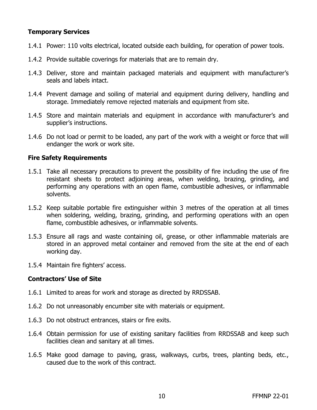## **Temporary Services**

- 1.4.1 Power: 110 volts electrical, located outside each building, for operation of power tools.
- 1.4.2 Provide suitable coverings for materials that are to remain dry.
- 1.4.3 Deliver, store and maintain packaged materials and equipment with manufacturer's seals and labels intact.
- 1.4.4 Prevent damage and soiling of material and equipment during delivery, handling and storage. Immediately remove rejected materials and equipment from site.
- 1.4.5 Store and maintain materials and equipment in accordance with manufacturer's and supplier's instructions.
- 1.4.6 Do not load or permit to be loaded, any part of the work with a weight or force that will endanger the work or work site.

#### **Fire Safety Requirements**

- 1.5.1 Take all necessary precautions to prevent the possibility of fire including the use of fire resistant sheets to protect adjoining areas, when welding, brazing, grinding, and performing any operations with an open flame, combustible adhesives, or inflammable solvents.
- 1.5.2 Keep suitable portable fire extinguisher within 3 metres of the operation at all times when soldering, welding, brazing, grinding, and performing operations with an open flame, combustible adhesives, or inflammable solvents.
- 1.5.3 Ensure all rags and waste containing oil, grease, or other inflammable materials are stored in an approved metal container and removed from the site at the end of each working day.
- 1.5.4 Maintain fire fighters' access.

#### **Contractors' Use of Site**

- 1.6.1 Limited to areas for work and storage as directed by RRDSSAB.
- 1.6.2 Do not unreasonably encumber site with materials or equipment.
- 1.6.3 Do not obstruct entrances, stairs or fire exits.
- 1.6.4 Obtain permission for use of existing sanitary facilities from RRDSSAB and keep such facilities clean and sanitary at all times.
- 1.6.5 Make good damage to paving, grass, walkways, curbs, trees, planting beds, etc., caused due to the work of this contract.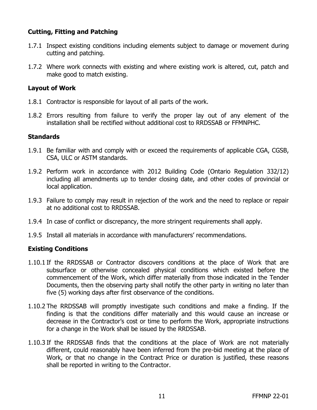## **Cutting, Fitting and Patching**

- 1.7.1 Inspect existing conditions including elements subject to damage or movement during cutting and patching.
- 1.7.2 Where work connects with existing and where existing work is altered, cut, patch and make good to match existing.

#### **Layout of Work**

- 1.8.1 Contractor is responsible for layout of all parts of the work.
- 1.8.2 Errors resulting from failure to verify the proper lay out of any element of the installation shall be rectified without additional cost to RRDSSAB or FFMNPHC.

#### **Standards**

- 1.9.1 Be familiar with and comply with or exceed the requirements of applicable CGA, CGSB, CSA, ULC or ASTM standards.
- 1.9.2 Perform work in accordance with 2012 Building Code (Ontario Regulation 332/12) including all amendments up to tender closing date, and other codes of provincial or local application.
- 1.9.3 Failure to comply may result in rejection of the work and the need to replace or repair at no additional cost to RRDSSAB.
- 1.9.4 In case of conflict or discrepancy, the more stringent requirements shall apply.
- 1.9.5 Install all materials in accordance with manufacturers' recommendations.

#### **Existing Conditions**

- 1.10.1 If the RRDSSAB or Contractor discovers conditions at the place of Work that are subsurface or otherwise concealed physical conditions which existed before the commencement of the Work, which differ materially from those indicated in the Tender Documents, then the observing party shall notify the other party in writing no later than five (5) working days after first observance of the conditions.
- 1.10.2 The RRDSSAB will promptly investigate such conditions and make a finding. If the finding is that the conditions differ materially and this would cause an increase or decrease in the Contractor's cost or time to perform the Work, appropriate instructions for a change in the Work shall be issued by the RRDSSAB.
- 1.10.3 If the RRDSSAB finds that the conditions at the place of Work are not materially different, could reasonably have been inferred from the pre-bid meeting at the place of Work, or that no change in the Contract Price or duration is justified, these reasons shall be reported in writing to the Contractor.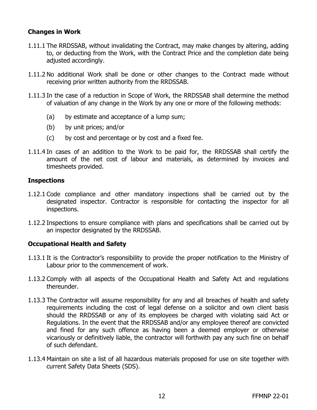## **Changes in Work**

- 1.11.1 The RRDSSAB, without invalidating the Contract, may make changes by altering, adding to, or deducting from the Work, with the Contract Price and the completion date being adjusted accordingly.
- 1.11.2 No additional Work shall be done or other changes to the Contract made without receiving prior written authority from the RRDSSAB.
- 1.11.3 In the case of a reduction in Scope of Work, the RRDSSAB shall determine the method of valuation of any change in the Work by any one or more of the following methods:
	- (a) by estimate and acceptance of a lump sum;
	- (b) by unit prices; and/or
	- (c) by cost and percentage or by cost and a fixed fee.
- 1.11.4 In cases of an addition to the Work to be paid for, the RRDSSAB shall certify the amount of the net cost of labour and materials, as determined by invoices and timesheets provided.

#### **Inspections**

- 1.12.1 Code compliance and other mandatory inspections shall be carried out by the designated inspector. Contractor is responsible for contacting the inspector for all inspections.
- 1.12.2 Inspections to ensure compliance with plans and specifications shall be carried out by an inspector designated by the RRDSSAB.

#### **Occupational Health and Safety**

- 1.13.1 It is the Contractor's responsibility to provide the proper notification to the Ministry of Labour prior to the commencement of work.
- 1.13.2 Comply with all aspects of the Occupational Health and Safety Act and regulations thereunder.
- 1.13.3 The Contractor will assume responsibility for any and all breaches of health and safety requirements including the cost of legal defense on a solicitor and own client basis should the RRDSSAB or any of its employees be charged with violating said Act or Regulations. In the event that the RRDSSAB and/or any employee thereof are convicted and fined for any such offence as having been a deemed employer or otherwise vicariously or definitively liable, the contractor will forthwith pay any such fine on behalf of such defendant.
- 1.13.4 Maintain on site a list of all hazardous materials proposed for use on site together with current Safety Data Sheets (SDS).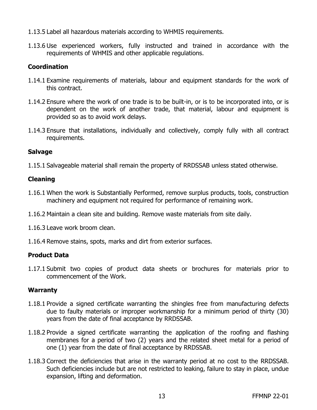- 1.13.5 Label all hazardous materials according to WHMIS requirements.
- 1.13.6 Use experienced workers, fully instructed and trained in accordance with the requirements of WHMIS and other applicable regulations.

#### **Coordination**

- 1.14.1 Examine requirements of materials, labour and equipment standards for the work of this contract.
- 1.14.2 Ensure where the work of one trade is to be built-in, or is to be incorporated into, or is dependent on the work of another trade, that material, labour and equipment is provided so as to avoid work delays.
- 1.14.3 Ensure that installations, individually and collectively, comply fully with all contract requirements.

## **Salvage**

1.15.1 Salvageable material shall remain the property of RRDSSAB unless stated otherwise.

# **Cleaning**

- 1.16.1 When the work is Substantially Performed, remove surplus products, tools, construction machinery and equipment not required for performance of remaining work.
- 1.16.2 Maintain a clean site and building. Remove waste materials from site daily.
- 1.16.3 Leave work broom clean.
- 1.16.4 Remove stains, spots, marks and dirt from exterior surfaces.

# **Product Data**

1.17.1 Submit two copies of product data sheets or brochures for materials prior to commencement of the Work.

#### **Warranty**

- 1.18.1 Provide a signed certificate warranting the shingles free from manufacturing defects due to faulty materials or improper workmanship for a minimum period of thirty (30) years from the date of final acceptance by RRDSSAB.
- 1.18.2 Provide a signed certificate warranting the application of the roofing and flashing membranes for a period of two (2) years and the related sheet metal for a period of one (1) year from the date of final acceptance by RRDSSAB.
- 1.18.3 Correct the deficiencies that arise in the warranty period at no cost to the RRDSSAB. Such deficiencies include but are not restricted to leaking, failure to stay in place, undue expansion, lifting and deformation.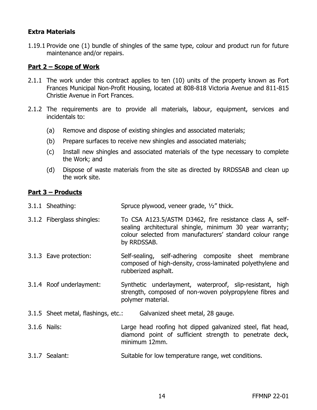## **Extra Materials**

1.19.1 Provide one (1) bundle of shingles of the same type, colour and product run for future maintenance and/or repairs.

#### **Part 2 – Scope of Work**

- 2.1.1 The work under this contract applies to ten (10) units of the property known as Fort Frances Municipal Non-Profit Housing, located at 808-818 Victoria Avenue and 811-815 Christie Avenue in Fort Frances.
- 2.1.2 The requirements are to provide all materials, labour, equipment, services and incidentals to:
	- (a) Remove and dispose of existing shingles and associated materials;
	- (b) Prepare surfaces to receive new shingles and associated materials;
	- (c) Install new shingles and associated materials of the type necessary to complete the Work; and
	- (d) Dispose of waste materials from the site as directed by RRDSSAB and clean up the work site.

#### **Part 3 – Products**

- 3.1.1 Sheathing: Spruce plywood, veneer grade, ½" thick.
- 3.1.2 Fiberglass shingles: To CSA A123.5/ASTM D3462, fire resistance class A, selfsealing architectural shingle, minimum 30 year warranty; colour selected from manufacturers' standard colour range by RRDSSAB.
- 3.1.3 Eave protection: Self-sealing, self-adhering composite sheet membrane composed of high-density, cross-laminated polyethylene and rubberized asphalt.
- 3.1.4 Roof underlayment: Synthetic underlayment, waterproof, slip-resistant, high strength, composed of non-woven polypropylene fibres and polymer material.
- 3.1.5 Sheet metal, flashings, etc.: Galvanized sheet metal, 28 gauge.
- 3.1.6 Nails: Large head roofing hot dipped galvanized steel, flat head, diamond point of sufficient strength to penetrate deck, minimum 12mm.
- 3.1.7 Sealant: Suitable for low temperature range, wet conditions.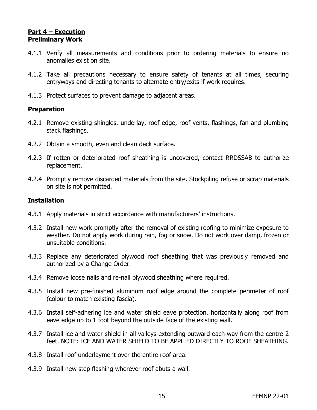#### **Part 4 – Execution Preliminary Work**

- 4.1.1 Verify all measurements and conditions prior to ordering materials to ensure no anomalies exist on site.
- 4.1.2 Take all precautions necessary to ensure safety of tenants at all times, securing entryways and directing tenants to alternate entry/exits if work requires.
- 4.1.3 Protect surfaces to prevent damage to adjacent areas.

#### **Preparation**

- 4.2.1 Remove existing shingles, underlay, roof edge, roof vents, flashings, fan and plumbing stack flashings.
- 4.2.2 Obtain a smooth, even and clean deck surface.
- 4.2.3 If rotten or deteriorated roof sheathing is uncovered, contact RRDSSAB to authorize replacement.
- 4.2.4 Promptly remove discarded materials from the site. Stockpiling refuse or scrap materials on site is not permitted.

#### **Installation**

- 4.3.1 Apply materials in strict accordance with manufacturers' instructions.
- 4.3.2 Install new work promptly after the removal of existing roofing to minimize exposure to weather. Do not apply work during rain, fog or snow. Do not work over damp, frozen or unsuitable conditions.
- 4.3.3 Replace any deteriorated plywood roof sheathing that was previously removed and authorized by a Change Order.
- 4.3.4 Remove loose nails and re-nail plywood sheathing where required.
- 4.3.5 Install new pre-finished aluminum roof edge around the complete perimeter of roof (colour to match existing fascia).
- 4.3.6 Install self-adhering ice and water shield eave protection, horizontally along roof from eave edge up to 1 foot beyond the outside face of the existing wall.
- 4.3.7 Install ice and water shield in all valleys extending outward each way from the centre 2 feet. NOTE: ICE AND WATER SHIELD TO BE APPLIED DIRECTLY TO ROOF SHEATHING.
- 4.3.8 Install roof underlayment over the entire roof area.
- 4.3.9 Install new step flashing wherever roof abuts a wall.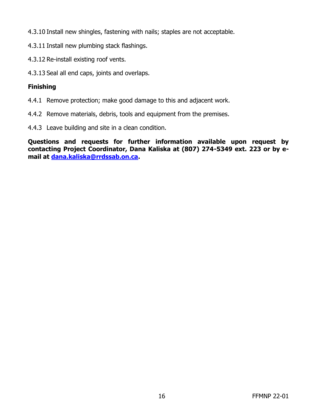- 4.3.10 Install new shingles, fastening with nails; staples are not acceptable.
- 4.3.11 Install new plumbing stack flashings.
- 4.3.12 Re-install existing roof vents.
- 4.3.13 Seal all end caps, joints and overlaps.

# **Finishing**

- 4.4.1 Remove protection; make good damage to this and adjacent work.
- 4.4.2 Remove materials, debris, tools and equipment from the premises.
- 4.4.3 Leave building and site in a clean condition.

**Questions and requests for further information available upon request by contacting Project Coordinator, Dana Kaliska at (807) 274-5349 ext. 223 or by email at [dana.kaliska@rrdssab.on.ca.](mailto:dana.kaliska@rrdssab.on.ca)**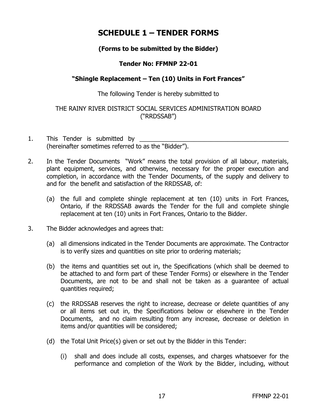# **SCHEDULE 1 – TENDER FORMS**

# **(Forms to be submitted by the Bidder)**

#### **Tender No: FFMNP 22-01**

# **"Shingle Replacement – Ten (10) Units in Fort Frances"**

#### The following Tender is hereby submitted to

#### THE RAINY RIVER DISTRICT SOCIAL SERVICES ADMINISTRATION BOARD ("RRDSSAB")

- 1. This Tender is submitted by (hereinafter sometimes referred to as the "Bidder").
- 2. In the Tender Documents "Work" means the total provision of all labour, materials, plant equipment, services, and otherwise, necessary for the proper execution and completion, in accordance with the Tender Documents, of the supply and delivery to and for the benefit and satisfaction of the RRDSSAB, of:
	- (a) the full and complete shingle replacement at ten (10) units in Fort Frances, Ontario, if the RRDSSAB awards the Tender for the full and complete shingle replacement at ten (10) units in Fort Frances, Ontario to the Bidder.
- 3. The Bidder acknowledges and agrees that:
	- (a) all dimensions indicated in the Tender Documents are approximate. The Contractor is to verify sizes and quantities on site prior to ordering materials;
	- (b) the items and quantities set out in, the Specifications (which shall be deemed to be attached to and form part of these Tender Forms) or elsewhere in the Tender Documents, are not to be and shall not be taken as a guarantee of actual quantities required;
	- (c) the RRDSSAB reserves the right to increase, decrease or delete quantities of any or all items set out in, the Specifications below or elsewhere in the Tender Documents, and no claim resulting from any increase, decrease or deletion in items and/or quantities will be considered;
	- (d) the Total Unit Price(s) given or set out by the Bidder in this Tender:
		- (i) shall and does include all costs, expenses, and charges whatsoever for the performance and completion of the Work by the Bidder, including, without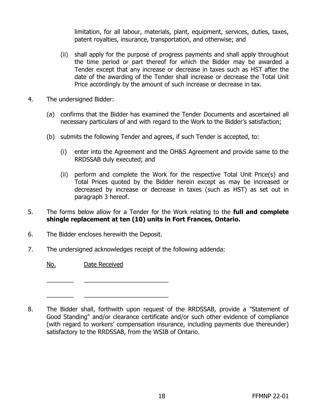limitation, for all labour, materials, plant, equipment, services, duties, taxes, patent royalties, insurance, transportation, and otherwise; and

- (ii) shall apply for the purpose of progress payments and shall apply throughout the time period or part thereof for which the Bidder may be awarded a Tender except that any increase or decrease in taxes such as HST after the date of the awarding of the Tender shall increase or decrease the Total Unit Price accordingly by the amount of such increase or decrease in tax.
- 4. The undersigned Bidder:
	- (a) confirms that the Bidder has examined the Tender Documents and ascertained all necessary particulars of and with regard to the Work to the Bidder's satisfaction;
	- (b) submits the following Tender and agrees, if such Tender is accepted, to:
		- (i) enter into the Agreement and the OH&S Agreement and provide same to the RRDSSAB duly executed; and
		- (ii) perform and complete the Work for the respective Total Unit Price(s) and Total Prices quoted by the Bidder herein except as may be increased or decreased by increase or decrease in taxes (such as HST) as set out in paragraph 3 hereof.
- 5. The forms below allow for a Tender for the Work relating to the **full and complete shingle replacement at ten (10) units in Fort Frances, Ontario.**
- 6. The Bidder encloses herewith the Deposit.

 $\frac{1}{2}$  ,  $\frac{1}{2}$  ,  $\frac{1}{2}$  ,  $\frac{1}{2}$  ,  $\frac{1}{2}$  ,  $\frac{1}{2}$  ,  $\frac{1}{2}$  ,  $\frac{1}{2}$  ,  $\frac{1}{2}$  ,  $\frac{1}{2}$  ,  $\frac{1}{2}$  ,  $\frac{1}{2}$  ,  $\frac{1}{2}$  ,  $\frac{1}{2}$  ,  $\frac{1}{2}$  ,  $\frac{1}{2}$  ,  $\frac{1}{2}$  ,  $\frac{1}{2}$  ,  $\frac{1$ 

 $\frac{1}{2}$  ,  $\frac{1}{2}$  ,  $\frac{1}{2}$  ,  $\frac{1}{2}$  ,  $\frac{1}{2}$  ,  $\frac{1}{2}$  ,  $\frac{1}{2}$  ,  $\frac{1}{2}$  ,  $\frac{1}{2}$  ,  $\frac{1}{2}$  ,  $\frac{1}{2}$  ,  $\frac{1}{2}$  ,  $\frac{1}{2}$  ,  $\frac{1}{2}$  ,  $\frac{1}{2}$  ,  $\frac{1}{2}$  ,  $\frac{1}{2}$  ,  $\frac{1}{2}$  ,  $\frac{1$ 

7. The undersigned acknowledges receipt of the following addenda:

No. Date Received

<sup>8.</sup> The Bidder shall, forthwith upon request of the RRDSSAB, provide a "Statement of Good Standing" and/or clearance certificate and/or such other evidence of compliance (with regard to workers' compensation insurance, including payments due thereunder) satisfactory to the RRDSSAB, from the WSIB of Ontario.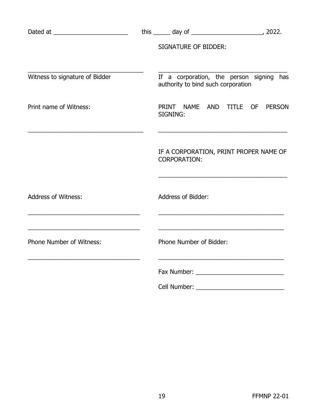|                                                                                      | <b>SIGNATURE OF BIDDER:</b>                                                                                                      |               |
|--------------------------------------------------------------------------------------|----------------------------------------------------------------------------------------------------------------------------------|---------------|
| Witness to signature of Bidder                                                       | If a corporation, the person signing has<br>authority to bind such corporation                                                   |               |
| Print name of Witness:                                                               | PRINT NAME AND TITLE OF<br>SIGNING:<br>the control of the control of the control of the control of the control of the control of | <b>PERSON</b> |
|                                                                                      | IF A CORPORATION, PRINT PROPER NAME OF<br><b>CORPORATION:</b>                                                                    |               |
| <b>Address of Witness:</b>                                                           | Address of Bidder:                                                                                                               |               |
| <u> 1989 - Johann Barbara, martxa alemaniar a</u><br><b>Phone Number of Witness:</b> | <u> 1989 - Johann Barbara, margaret eta idazlearia (h. 1989).</u><br>Phone Number of Bidder:                                     |               |
|                                                                                      |                                                                                                                                  |               |
|                                                                                      | Cell Number:<br><u> 1989 - Johann John Stone, mensk politik (d. 1989)</u>                                                        |               |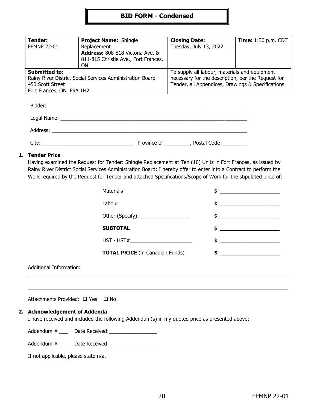#### **BID FORM - Condensed**

| Tender:<br><b>FFMNP 22-01</b>                                                                                                     | <b>Project Name: Shingle</b><br>Replacement<br>Address: 808-818 Victoria Ave. &<br>811-815 Christie Ave., Fort Frances,<br>0N | <b>Closing Date:</b><br>Tuesday, July 13, 2022                                                                                                            | <b>Time:</b> 1:30 p.m. CDT |
|-----------------------------------------------------------------------------------------------------------------------------------|-------------------------------------------------------------------------------------------------------------------------------|-----------------------------------------------------------------------------------------------------------------------------------------------------------|----------------------------|
| <b>Submitted to:</b><br>Rainy River District Social Services Administration Board<br>450 Scott Street<br>Fort Frances, ON P9A 1H2 |                                                                                                                               | To supply all labour, materials and equipment<br>necessary for the description, per the Request for<br>Tender, all Appendices, Drawings & Specifications. |                            |

| City:<br><u> 1980 - John Stein, Amerikaansk politiker (</u> † 1920) | Province of | Postal Code <b>Solution</b> |
|---------------------------------------------------------------------|-------------|-----------------------------|

#### **1. Tender Price**

Having examined the Request for Tender: Shingle Replacement at Ten (10) Units in Fort Frances, as issued by Rainy River District Social Services Administration Board; I hereby offer to enter into a Contract to perform the Work required by the Request for Tender and attached Specifications/Scope of Work for the stipulated price of:

 $\_$  ,  $\_$  ,  $\_$  ,  $\_$  ,  $\_$  ,  $\_$  ,  $\_$  ,  $\_$  ,  $\_$  ,  $\_$  ,  $\_$  ,  $\_$  ,  $\_$  ,  $\_$  ,  $\_$  ,  $\_$  ,  $\_$  ,  $\_$  ,  $\_$  ,  $\_$  ,  $\_$  ,  $\_$  ,  $\_$  ,  $\_$  ,  $\_$  ,  $\_$  ,  $\_$  ,  $\_$  ,  $\_$  ,  $\_$  ,  $\_$  ,  $\_$  ,  $\_$  ,  $\_$  ,  $\_$  ,  $\_$  ,  $\_$  ,

 $\_$  ,  $\_$  ,  $\_$  ,  $\_$  ,  $\_$  ,  $\_$  ,  $\_$  ,  $\_$  ,  $\_$  ,  $\_$  ,  $\_$  ,  $\_$  ,  $\_$  ,  $\_$  ,  $\_$  ,  $\_$  ,  $\_$  ,  $\_$  ,  $\_$  ,  $\_$  ,  $\_$  ,  $\_$  ,  $\_$  ,  $\_$  ,  $\_$  ,  $\_$  ,  $\_$  ,  $\_$  ,  $\_$  ,  $\_$  ,  $\_$  ,  $\_$  ,  $\_$  ,  $\_$  ,  $\_$  ,  $\_$  ,  $\_$  ,

| Materials                              |                                                                                                                                                                                                                                                                                                                     |
|----------------------------------------|---------------------------------------------------------------------------------------------------------------------------------------------------------------------------------------------------------------------------------------------------------------------------------------------------------------------|
| Labour                                 | $\frac{1}{2}$ $\frac{1}{2}$ $\frac{1}{2}$ $\frac{1}{2}$ $\frac{1}{2}$ $\frac{1}{2}$ $\frac{1}{2}$ $\frac{1}{2}$ $\frac{1}{2}$ $\frac{1}{2}$ $\frac{1}{2}$ $\frac{1}{2}$ $\frac{1}{2}$ $\frac{1}{2}$ $\frac{1}{2}$ $\frac{1}{2}$ $\frac{1}{2}$ $\frac{1}{2}$ $\frac{1}{2}$ $\frac{1}{2}$ $\frac{1}{2}$ $\frac{1}{2}$ |
|                                        | $\frac{1}{2}$ $\frac{1}{2}$ $\frac{1}{2}$ $\frac{1}{2}$ $\frac{1}{2}$ $\frac{1}{2}$ $\frac{1}{2}$ $\frac{1}{2}$ $\frac{1}{2}$ $\frac{1}{2}$ $\frac{1}{2}$ $\frac{1}{2}$ $\frac{1}{2}$ $\frac{1}{2}$ $\frac{1}{2}$ $\frac{1}{2}$ $\frac{1}{2}$ $\frac{1}{2}$ $\frac{1}{2}$ $\frac{1}{2}$ $\frac{1}{2}$ $\frac{1}{2}$ |
| <b>SUBTOTAL</b>                        | $\frac{1}{2}$                                                                                                                                                                                                                                                                                                       |
| $HST - HST#$                           | $\updownarrow$ $\downarrow$                                                                                                                                                                                                                                                                                         |
| <b>TOTAL PRICE</b> (in Canadian Funds) | \$                                                                                                                                                                                                                                                                                                                  |
|                                        |                                                                                                                                                                                                                                                                                                                     |

Additional Information:

Attachments Provided: □ Yes □ No

#### **2. Acknowledgement of Addenda**

I have received and included the following Addendum(s) in my quoted price as presented above:

Addendum # \_\_\_ Date Received: \_\_\_\_\_\_\_\_\_\_\_\_\_\_\_\_\_

Addendum # \_\_\_ Date Received:\_\_\_\_\_\_\_\_\_\_\_\_\_\_\_\_\_

If not applicable, please state n/a.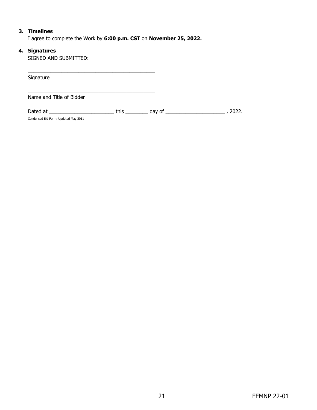#### **3. Timelines**

I agree to complete the Work by **6:00 p.m. CST** on **November 25, 2022.**

#### **4. Signatures**

SIGNED AND SUBMITTED:

| Signature                                                                                                                                                                                                                                                              |                                                                                                                                                                                                                                |                   |       |
|------------------------------------------------------------------------------------------------------------------------------------------------------------------------------------------------------------------------------------------------------------------------|--------------------------------------------------------------------------------------------------------------------------------------------------------------------------------------------------------------------------------|-------------------|-------|
| Name and Title of Bidder                                                                                                                                                                                                                                               |                                                                                                                                                                                                                                |                   |       |
| Dated at the control of the control of the control of the control of the control of the control of the control of the control of the control of the control of the control of the control of the control of the control of the<br>Condensed Bid Form: Updated May 2011 | this the control of the control of the control of the control of the control of the control of the control of the control of the control of the control of the control of the control of the control of the control of the con | day of $\sqrt{a}$ | 2022. |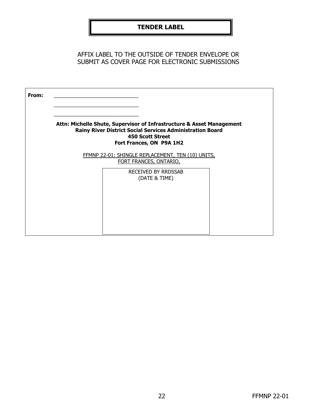# **TENDER LABEL**

AFFIX LABEL TO THE OUTSIDE OF TENDER ENVELOPE OR SUBMIT AS COVER PAGE FOR ELECTRONIC SUBMISSIONS

| From: |                                                                                                                                                                                                  |  |
|-------|--------------------------------------------------------------------------------------------------------------------------------------------------------------------------------------------------|--|
|       | Attn: Michelle Shute, Supervisor of Infrastructure & Asset Management<br><b>Rainy River District Social Services Administration Board</b><br><b>450 Scott Street</b><br>Fort Frances, ON P9A 1H2 |  |
|       | FFMNP 22-01: SHINGLE REPLACEMENT, TEN (10) UNITS,<br>FORT FRANCES, ONTARIO,                                                                                                                      |  |
|       | <b>RECEIVED BY RRDSSAB</b><br>(DATE & TIME)                                                                                                                                                      |  |
|       |                                                                                                                                                                                                  |  |
|       |                                                                                                                                                                                                  |  |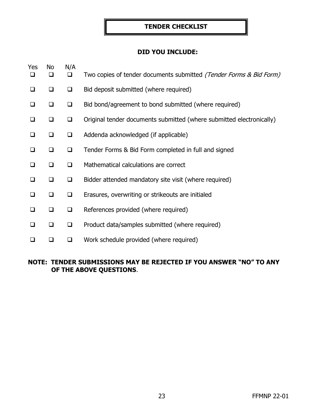## **TENDER CHECKLIST**

# **DID YOU INCLUDE:**

| Yes<br>❏ | No<br>❏ | N/A<br>$\Box$ | Two copies of tender documents submitted (Tender Forms & Bid Form)   |
|----------|---------|---------------|----------------------------------------------------------------------|
| $\Box$   | ◻       | $\Box$        | Bid deposit submitted (where required)                               |
| ◻        | ◻       | $\Box$        | Bid bond/agreement to bond submitted (where required)                |
| ❏        | $\Box$  | $\Box$        | Original tender documents submitted (where submitted electronically) |
| $\Box$   | ❏       | $\Box$        | Addenda acknowledged (if applicable)                                 |
| □        | ◻       | ❏             | Tender Forms & Bid Form completed in full and signed                 |
| ◻        | ◻       | $\Box$        | Mathematical calculations are correct                                |
| □        | ◻       | $\Box$        | Bidder attended mandatory site visit (where required)                |
| ◻        | ❏       | $\Box$        | Erasures, overwriting or strikeouts are initialed                    |
| □        | $\Box$  | $\Box$        | References provided (where required)                                 |
| $\Box$   | ❏       | $\Box$        | Product data/samples submitted (where required)                      |
|          |         | ❏             | Work schedule provided (where required)                              |

## **NOTE: TENDER SUBMISSIONS MAY BE REJECTED IF YOU ANSWER "NO" TO ANY OF THE ABOVE QUESTIONS**.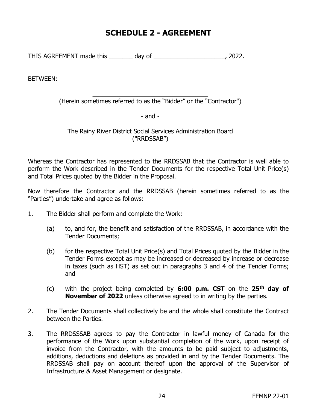# **SCHEDULE 2 - AGREEMENT**

THIS AGREEMENT made this \_\_\_\_\_\_\_ day of \_\_\_\_\_\_\_\_\_\_\_\_\_\_\_\_\_\_\_\_\_, 2022.

BETWEEN:

\_\_\_\_\_\_\_\_\_\_\_\_\_\_\_\_\_\_\_\_\_\_\_\_\_\_\_\_\_\_\_\_\_\_ (Herein sometimes referred to as the "Bidder" or the "Contractor")

- and -

The Rainy River District Social Services Administration Board ("RRDSSAB")

Whereas the Contractor has represented to the RRDSSAB that the Contractor is well able to perform the Work described in the Tender Documents for the respective Total Unit Price(s) and Total Prices quoted by the Bidder in the Proposal.

Now therefore the Contractor and the RRDSSAB (herein sometimes referred to as the "Parties") undertake and agree as follows:

- 1. The Bidder shall perform and complete the Work:
	- (a) to, and for, the benefit and satisfaction of the RRDSSAB, in accordance with the Tender Documents;
	- (b) for the respective Total Unit Price(s) and Total Prices quoted by the Bidder in the Tender Forms except as may be increased or decreased by increase or decrease in taxes (such as HST) as set out in paragraphs 3 and 4 of the Tender Forms; and
	- (c) with the project being completed by **6:00 p.m. CST** on the **25th day of November of 2022** unless otherwise agreed to in writing by the parties.
- 2. The Tender Documents shall collectively be and the whole shall constitute the Contract between the Parties.
- 3. The RRDSSSAB agrees to pay the Contractor in lawful money of Canada for the performance of the Work upon substantial completion of the work, upon receipt of invoice from the Contractor, with the amounts to be paid subject to adjustments, additions, deductions and deletions as provided in and by the Tender Documents. The RRDSSAB shall pay on account thereof upon the approval of the Supervisor of Infrastructure & Asset Management or designate.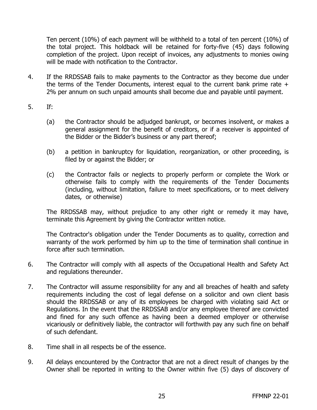Ten percent (10%) of each payment will be withheld to a total of ten percent (10%) of the total project. This holdback will be retained for forty-five (45) days following completion of the project. Upon receipt of invoices, any adjustments to monies owing will be made with notification to the Contractor.

- 4. If the RRDSSAB fails to make payments to the Contractor as they become due under the terms of the Tender Documents, interest equal to the current bank prime rate + 2% per annum on such unpaid amounts shall become due and payable until payment.
- 5. If:
	- (a) the Contractor should be adjudged bankrupt, or becomes insolvent, or makes a general assignment for the benefit of creditors, or if a receiver is appointed of the Bidder or the Bidder's business or any part thereof;
	- (b) a petition in bankruptcy for liquidation, reorganization, or other proceeding, is filed by or against the Bidder; or
	- (c) the Contractor fails or neglects to properly perform or complete the Work or otherwise fails to comply with the requirements of the Tender Documents (including, without limitation, failure to meet specifications, or to meet delivery dates, or otherwise)

The RRDSSAB may, without prejudice to any other right or remedy it may have, terminate this Agreement by giving the Contractor written notice.

The Contractor's obligation under the Tender Documents as to quality, correction and warranty of the work performed by him up to the time of termination shall continue in force after such termination.

- 6. The Contractor will comply with all aspects of the Occupational Health and Safety Act and regulations thereunder.
- 7. The Contractor will assume responsibility for any and all breaches of health and safety requirements including the cost of legal defense on a solicitor and own client basis should the RRDSSAB or any of its employees be charged with violating said Act or Regulations. In the event that the RRDSSAB and/or any employee thereof are convicted and fined for any such offence as having been a deemed employer or otherwise vicariously or definitively liable, the contractor will forthwith pay any such fine on behalf of such defendant.
- 8. Time shall in all respects be of the essence.
- 9. All delays encountered by the Contractor that are not a direct result of changes by the Owner shall be reported in writing to the Owner within five (5) days of discovery of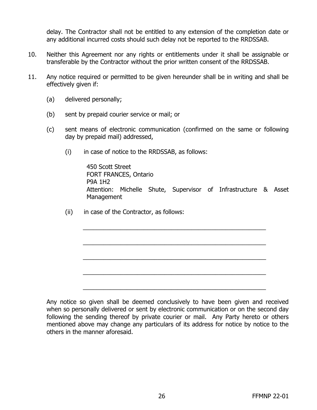delay. The Contractor shall not be entitled to any extension of the completion date or any additional incurred costs should such delay not be reported to the RRDSSAB.

- 10. Neither this Agreement nor any rights or entitlements under it shall be assignable or transferable by the Contractor without the prior written consent of the RRDSSAB.
- 11. Any notice required or permitted to be given hereunder shall be in writing and shall be effectively given if:
	- (a) delivered personally;
	- (b) sent by prepaid courier service or mail; or
	- (c) sent means of electronic communication (confirmed on the same or following day by prepaid mail) addressed,
		- (i) in case of notice to the RRDSSAB, as follows:

450 Scott Street FORT FRANCES, Ontario P9A 1H2 Attention: Michelle Shute, Supervisor of Infrastructure & Asset Management

\_\_\_\_\_\_\_\_\_\_\_\_\_\_\_\_\_\_\_\_\_\_\_\_\_\_\_\_\_\_\_\_\_\_\_\_\_\_\_\_\_\_\_\_\_\_\_\_\_\_\_\_\_\_

\_\_\_\_\_\_\_\_\_\_\_\_\_\_\_\_\_\_\_\_\_\_\_\_\_\_\_\_\_\_\_\_\_\_\_\_\_\_\_\_\_\_\_\_\_\_\_\_\_\_\_\_\_\_

\_\_\_\_\_\_\_\_\_\_\_\_\_\_\_\_\_\_\_\_\_\_\_\_\_\_\_\_\_\_\_\_\_\_\_\_\_\_\_\_\_\_\_\_\_\_\_\_\_\_\_\_\_\_

\_\_\_\_\_\_\_\_\_\_\_\_\_\_\_\_\_\_\_\_\_\_\_\_\_\_\_\_\_\_\_\_\_\_\_\_\_\_\_\_\_\_\_\_\_\_\_\_\_\_\_\_\_\_

\_\_\_\_\_\_\_\_\_\_\_\_\_\_\_\_\_\_\_\_\_\_\_\_\_\_\_\_\_\_\_\_\_\_\_\_\_\_\_\_\_\_\_\_\_\_\_\_\_\_\_\_\_\_

(ii) in case of the Contractor, as follows:

Any notice so given shall be deemed conclusively to have been given and received when so personally delivered or sent by electronic communication or on the second day following the sending thereof by private courier or mail. Any Party hereto or others mentioned above may change any particulars of its address for notice by notice to the others in the manner aforesaid.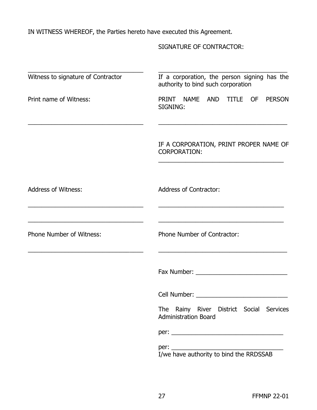IN WITNESS WHEREOF, the Parties hereto have executed this Agreement.

SIGNATURE OF CONTRACTOR:

| Witness to signature of Contractor | If a corporation, the person signing has the<br>authority to bind such corporation                                                                                                                                             |
|------------------------------------|--------------------------------------------------------------------------------------------------------------------------------------------------------------------------------------------------------------------------------|
| Print name of Witness:             | PRINT NAME<br>AND TITLE OF<br><b>PERSON</b><br>SIGNING:                                                                                                                                                                        |
|                                    | IF A CORPORATION, PRINT PROPER NAME OF<br><b>CORPORATION:</b><br><u> 1989 - Johann John Stoff, deutscher Stoffen und der Stoffen und der Stoffen und der Stoffen und der Stoffen un</u>                                        |
| <b>Address of Witness:</b>         | <b>Address of Contractor:</b>                                                                                                                                                                                                  |
| <b>Phone Number of Witness:</b>    | Phone Number of Contractor:<br><u> 1980 - Johann Stoff, amerikansk politiker (d. 1980)</u>                                                                                                                                     |
|                                    |                                                                                                                                                                                                                                |
|                                    | Cell Number: The Contract of the Contract of the Contract of the Contract of the Contract of the Contract of the Contract of the Contract of the Contract of the Contract of the Contract of the Contract of the Contract of t |
|                                    | The Rainy River District Social Services<br><b>Administration Board</b>                                                                                                                                                        |
|                                    |                                                                                                                                                                                                                                |
|                                    | I/we have authority to bind the RRDSSAB                                                                                                                                                                                        |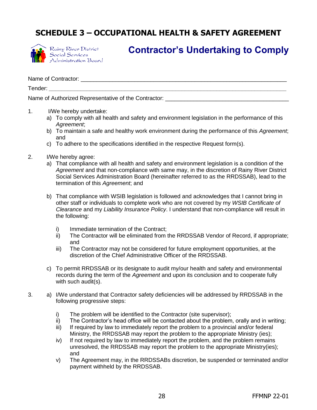# **SCHEDULE 3 – OCCUPATIONAL HEALTH & SAFETY AGREEMENT**



Rainy River District Social Services<br>Administration Board

# **Contractor's Undertaking to Comply**

Name of Contractor:  $\Box$ 

Tender: *\_\_\_\_\_\_\_\_\_\_\_\_\_\_\_\_\_\_\_\_\_\_\_\_\_\_\_\_\_\_\_\_\_\_\_\_\_\_\_\_\_\_\_\_\_\_\_\_\_\_\_\_\_\_\_\_\_\_\_\_\_\_\_\_\_\_\_\_\_\_\_\_\_\_\_* 

Name of Authorized Representative of the Contractor:

- 1. I/We hereby undertake:
	- a) To comply with all health and safety and environment legislation in the performance of this *Agreement*;
	- b) To maintain a safe and healthy work environment during the performance of this *Agreement*; and
	- c) To adhere to the specifications identified in the respective Request form(s).
- 2. I/We hereby agree:
	- a) That compliance with all health and safety and environment legislation is a condition of the *Agreement* and that non-compliance with same may, in the discretion of Rainy River District Social Services Administration Board (hereinafter referred to as the RRDSSAB), lead to the termination of this *Agreement*; and
	- b) That compliance with WSIB legislation is followed and acknowledges that I cannot bring in other staff or individuals to complete work who are not covered by my *WSIB Certificate of Clearance* and my *Liability Insurance Policy*. I understand that non-compliance will result in the following:
		- i) Immediate termination of the Contract;
		- ii) The Contractor will be eliminated from the RRDSSAB Vendor of Record, if appropriate; and
		- iii) The Contractor may not be considered for future employment opportunities, at the discretion of the Chief Administrative Officer of the RRDSSAB.
	- c) To permit RRDSSAB or its designate to audit my/our health and safety and environmental records during the term of the *Agreement* and upon its conclusion and to cooperate fully with such audit(s).
- 3. a) I/We understand that Contractor safety deficiencies will be addressed by RRDSSAB in the following progressive steps:
	- i) The problem will be identified to the Contractor (site supervisor);
	- ii) The Contractor's head office will be contacted about the problem, orally and in writing;
	- iii) If required by law to immediately report the problem to a provincial and/or federal Ministry, the RRDSSAB may report the problem to the appropriate Ministry (ies);
	- iv) If not required by law to immediately report the problem, and the problem remains unresolved, the RRDSSAB may report the problem to the appropriate Ministry(ies); and
	- v) The Agreement may, in the RRDSSABs discretion, be suspended or terminated and/or payment withheld by the RRDSSAB.